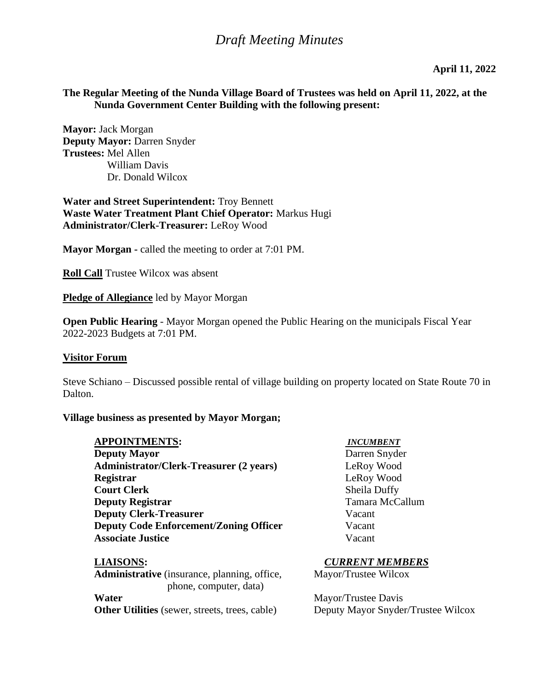**April 11, 2022**

## **The Regular Meeting of the Nunda Village Board of Trustees was held on April 11, 2022, at the Nunda Government Center Building with the following present:**

**Mayor:** Jack Morgan **Deputy Mayor:** Darren Snyder **Trustees:** Mel Allen William Davis Dr. Donald Wilcox

**Water and Street Superintendent:** Troy Bennett **Waste Water Treatment Plant Chief Operator:** Markus Hugi **Administrator/Clerk-Treasurer:** LeRoy Wood

**Mayor Morgan -** called the meeting to order at 7:01 PM.

**Roll Call** Trustee Wilcox was absent

**Pledge of Allegiance** led by Mayor Morgan

**Open Public Hearing** - Mayor Morgan opened the Public Hearing on the municipals Fiscal Year 2022-2023 Budgets at 7:01 PM.

#### **Visitor Forum**

Steve Schiano – Discussed possible rental of village building on property located on State Route 70 in Dalton.

#### **Village business as presented by Mayor Morgan;**

#### **APPOINTMENTS:** *INCUMBENT*

**Deputy Mayor Darren Snyder Administrator/Clerk-Treasurer (2 years)** LeRoy Wood **Registrar** LeRoy Wood **Court Clerk**<br> **Court Clerk County Registrar**<br> **County Registrar Deputy Registrar Deputy Clerk-Treasurer**  Vacant **Deputy Code Enforcement/Zoning Officer** Vacant **Associate Justice** Vacant

Administrative (insurance, planning, office, Mayor/Trustee Wilcox phone, computer, data) **Water** Mayor/Trustee Davis

**LIAISONS:** *CURRENT MEMBERS*

**Other Utilities** (sewer, streets, trees, cable) Deputy Mayor Snyder/Trustee Wilcox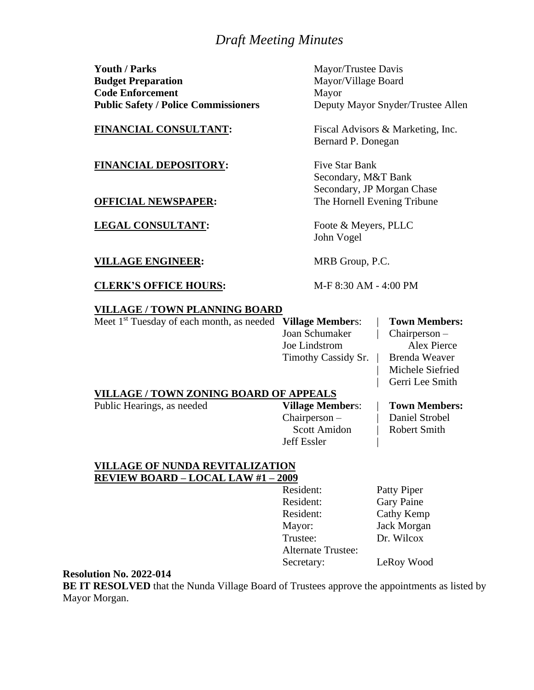**Youth / Parks** Mayor/Trustee Davis **Budget Preparation** Mayor/Village Board **Code Enforcement** Mayor **Public Safety / Police Commissioners** Deputy Mayor Snyder/Trustee Allen

#### **FINANCIAL DEPOSITORY:** Five Star Bank

**LEGAL CONSULTANT:** Foote & Meyers, PLLC

#### **VILLAGE ENGINEER:** MRB Group, P.C.

**CLERK'S OFFICE HOURS:** M-F 8:30 AM - 4:00 PM

**FINANCIAL CONSULTANT:** Fiscal Advisors & Marketing, Inc. Bernard P. Donegan

Secondary, M&T Bank Secondary, JP Morgan Chase **OFFICIAL NEWSPAPER:** The Hornell Evening Tribune

John Vogel

#### **VILLAGE / TOWN PLANNING BOARD**

Meet 1st Tuesday of each month, as needed **Village Member**s: | **Town Members:** Joan Schumaker | Chairperson –

Joe Lindstrom Alex Pierce Timothy Cassidy Sr. | Brenda Weaver

Michele Siefried | Gerri Lee Smith

#### **VILLAGE / TOWN ZONING BOARD OF APPEALS**

Public Hearings, as needed **Village Member**s: | **Town Members:**

Chairperson – | Daniel Strobel Scott Amidon | Robert Smith Jeff Essler |

#### **VILLAGE OF NUNDA REVITALIZATION REVIEW BOARD – LOCAL LAW #1 – 2009**

Resident: Patty Piper Resident: Gary Paine Resident: Cathy Kemp Mayor: Jack Morgan Trustee: Dr. Wilcox Alternate Trustee: Secretary: LeRoy Wood

#### **Resolution No. 2022-014**

**BE IT RESOLVED** that the Nunda Village Board of Trustees approve the appointments as listed by Mayor Morgan.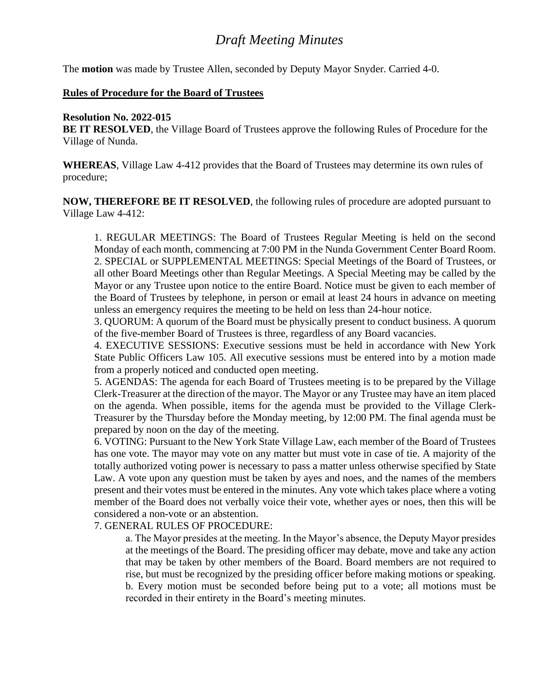The **motion** was made by Trustee Allen, seconded by Deputy Mayor Snyder. Carried 4-0.

#### **Rules of Procedure for the Board of Trustees**

#### **Resolution No. 2022-015**

**BE IT RESOLVED**, the Village Board of Trustees approve the following Rules of Procedure for the Village of Nunda.

**WHEREAS**, Village Law 4-412 provides that the Board of Trustees may determine its own rules of procedure;

**NOW, THEREFORE BE IT RESOLVED**, the following rules of procedure are adopted pursuant to Village Law 4-412:

1. REGULAR MEETINGS: The Board of Trustees Regular Meeting is held on the second Monday of each month, commencing at 7:00 PM in the Nunda Government Center Board Room. 2. SPECIAL or SUPPLEMENTAL MEETINGS: Special Meetings of the Board of Trustees, or all other Board Meetings other than Regular Meetings. A Special Meeting may be called by the Mayor or any Trustee upon notice to the entire Board. Notice must be given to each member of the Board of Trustees by telephone, in person or email at least 24 hours in advance on meeting unless an emergency requires the meeting to be held on less than 24-hour notice.

3. QUORUM: A quorum of the Board must be physically present to conduct business. A quorum of the five-member Board of Trustees is three, regardless of any Board vacancies.

4. EXECUTIVE SESSIONS: Executive sessions must be held in accordance with New York State Public Officers Law 105. All executive sessions must be entered into by a motion made from a properly noticed and conducted open meeting.

5. AGENDAS: The agenda for each Board of Trustees meeting is to be prepared by the Village Clerk-Treasurer at the direction of the mayor. The Mayor or any Trustee may have an item placed on the agenda. When possible, items for the agenda must be provided to the Village Clerk-Treasurer by the Thursday before the Monday meeting, by 12:00 PM. The final agenda must be prepared by noon on the day of the meeting.

6. VOTING: Pursuant to the New York State Village Law, each member of the Board of Trustees has one vote. The mayor may vote on any matter but must vote in case of tie. A majority of the totally authorized voting power is necessary to pass a matter unless otherwise specified by State Law. A vote upon any question must be taken by ayes and noes, and the names of the members present and their votes must be entered in the minutes. Any vote which takes place where a voting member of the Board does not verbally voice their vote, whether ayes or noes, then this will be considered a non-vote or an abstention.

7. GENERAL RULES OF PROCEDURE:

a. The Mayor presides at the meeting. In the Mayor's absence, the Deputy Mayor presides at the meetings of the Board. The presiding officer may debate, move and take any action that may be taken by other members of the Board. Board members are not required to rise, but must be recognized by the presiding officer before making motions or speaking. b. Every motion must be seconded before being put to a vote; all motions must be recorded in their entirety in the Board's meeting minutes.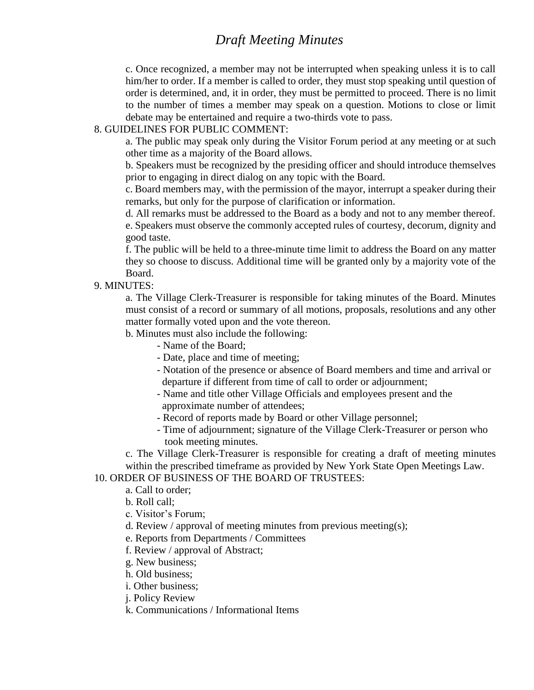c. Once recognized, a member may not be interrupted when speaking unless it is to call him/her to order. If a member is called to order, they must stop speaking until question of order is determined, and, it in order, they must be permitted to proceed. There is no limit to the number of times a member may speak on a question. Motions to close or limit debate may be entertained and require a two-thirds vote to pass.

#### 8. GUIDELINES FOR PUBLIC COMMENT:

a. The public may speak only during the Visitor Forum period at any meeting or at such other time as a majority of the Board allows.

b. Speakers must be recognized by the presiding officer and should introduce themselves prior to engaging in direct dialog on any topic with the Board.

c. Board members may, with the permission of the mayor, interrupt a speaker during their remarks, but only for the purpose of clarification or information.

d. All remarks must be addressed to the Board as a body and not to any member thereof. e. Speakers must observe the commonly accepted rules of courtesy, decorum, dignity and good taste.

f. The public will be held to a three-minute time limit to address the Board on any matter they so choose to discuss. Additional time will be granted only by a majority vote of the Board.

9. MINUTES:

a. The Village Clerk-Treasurer is responsible for taking minutes of the Board. Minutes must consist of a record or summary of all motions, proposals, resolutions and any other matter formally voted upon and the vote thereon.

b. Minutes must also include the following:

- Name of the Board;
- Date, place and time of meeting;
- Notation of the presence or absence of Board members and time and arrival or departure if different from time of call to order or adjournment;
- Name and title other Village Officials and employees present and the approximate number of attendees;
- Record of reports made by Board or other Village personnel;
- Time of adjournment; signature of the Village Clerk-Treasurer or person who took meeting minutes.

c. The Village Clerk-Treasurer is responsible for creating a draft of meeting minutes within the prescribed timeframe as provided by New York State Open Meetings Law.

#### 10. ORDER OF BUSINESS OF THE BOARD OF TRUSTEES:

- a. Call to order;
- b. Roll call;
- c. Visitor's Forum;
- d. Review / approval of meeting minutes from previous meeting(s);
- e. Reports from Departments / Committees
- f. Review / approval of Abstract;
- g. New business;
- h. Old business;
- i. Other business;
- j. Policy Review
- k. Communications / Informational Items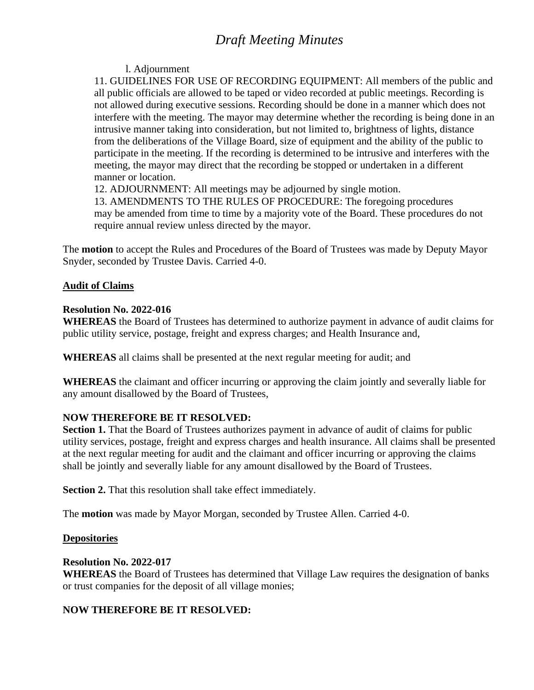## l. Adjournment

11. GUIDELINES FOR USE OF RECORDING EQUIPMENT: All members of the public and all public officials are allowed to be taped or video recorded at public meetings. Recording is not allowed during executive sessions. Recording should be done in a manner which does not interfere with the meeting. The mayor may determine whether the recording is being done in an intrusive manner taking into consideration, but not limited to, brightness of lights, distance from the deliberations of the Village Board, size of equipment and the ability of the public to participate in the meeting. If the recording is determined to be intrusive and interferes with the meeting, the mayor may direct that the recording be stopped or undertaken in a different manner or location.

12. ADJOURNMENT: All meetings may be adjourned by single motion.

13. AMENDMENTS TO THE RULES OF PROCEDURE: The foregoing procedures may be amended from time to time by a majority vote of the Board. These procedures do not require annual review unless directed by the mayor.

The **motion** to accept the Rules and Procedures of the Board of Trustees was made by Deputy Mayor Snyder, seconded by Trustee Davis. Carried 4-0.

## **Audit of Claims**

## **Resolution No. 2022-016**

**WHEREAS** the Board of Trustees has determined to authorize payment in advance of audit claims for public utility service, postage, freight and express charges; and Health Insurance and,

**WHEREAS** all claims shall be presented at the next regular meeting for audit; and

**WHEREAS** the claimant and officer incurring or approving the claim jointly and severally liable for any amount disallowed by the Board of Trustees,

# **NOW THEREFORE BE IT RESOLVED:**

**Section 1.** That the Board of Trustees authorizes payment in advance of audit of claims for public utility services, postage, freight and express charges and health insurance. All claims shall be presented at the next regular meeting for audit and the claimant and officer incurring or approving the claims shall be jointly and severally liable for any amount disallowed by the Board of Trustees.

**Section 2.** That this resolution shall take effect immediately.

The **motion** was made by Mayor Morgan, seconded by Trustee Allen. Carried 4-0.

### **Depositories**

### **Resolution No. 2022-017**

**WHEREAS** the Board of Trustees has determined that Village Law requires the designation of banks or trust companies for the deposit of all village monies;

# **NOW THEREFORE BE IT RESOLVED:**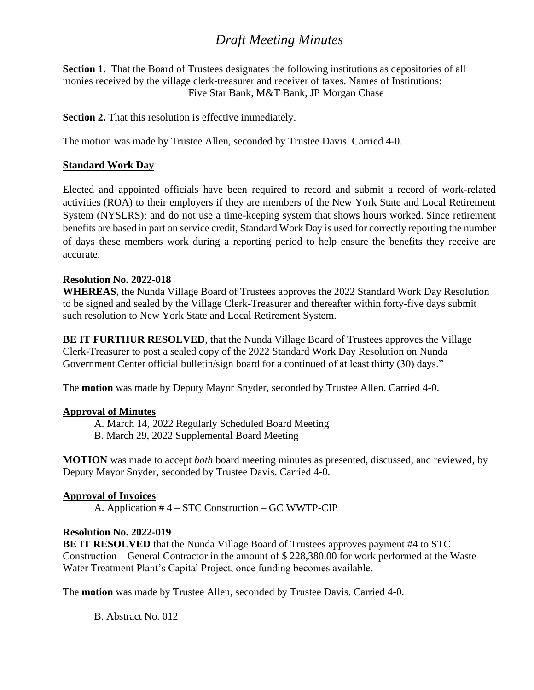**Section 1.** That the Board of Trustees designates the following institutions as depositories of all monies received by the village clerk-treasurer and receiver of taxes. Names of Institutions: Five Star Bank, M&T Bank, JP Morgan Chase

**Section 2.** That this resolution is effective immediately.

The motion was made by Trustee Allen, seconded by Trustee Davis. Carried 4-0.

## **Standard Work Day**

Elected and appointed officials have been required to record and submit a record of work-related activities (ROA) to their employers if they are members of the New York State and Local Retirement System (NYSLRS); and do not use a time-keeping system that shows hours worked. Since retirement benefits are based in part on service credit, Standard Work Day is used for correctly reporting the number of days these members work during a reporting period to help ensure the benefits they receive are accurate.

### **Resolution No. 2022-018**

**WHEREAS**, the Nunda Village Board of Trustees approves the 2022 Standard Work Day Resolution to be signed and sealed by the Village Clerk-Treasurer and thereafter within forty-five days submit such resolution to New York State and Local Retirement System.

**BE IT FURTHUR RESOLVED**, that the Nunda Village Board of Trustees approves the Village Clerk-Treasurer to post a sealed copy of the 2022 Standard Work Day Resolution on Nunda Government Center official bulletin/sign board for a continued of at least thirty (30) days."

The **motion** was made by Deputy Mayor Snyder, seconded by Trustee Allen. Carried 4-0.

### **Approval of Minutes**

- A. March 14, 2022 Regularly Scheduled Board Meeting
- B. March 29, 2022 Supplemental Board Meeting

**MOTION** was made to accept *both* board meeting minutes as presented, discussed, and reviewed, by Deputy Mayor Snyder, seconded by Trustee Davis. Carried 4-0.

### **Approval of Invoices**

A. Application # 4 – STC Construction – GC WWTP-CIP

# **Resolution No. 2022-019**

**BE IT RESOLVED** that the Nunda Village Board of Trustees approves payment #4 to STC Construction – General Contractor in the amount of \$ 228,380.00 for work performed at the Waste Water Treatment Plant's Capital Project, once funding becomes available.

The **motion** was made by Trustee Allen, seconded by Trustee Davis. Carried 4-0.

B. Abstract No. 012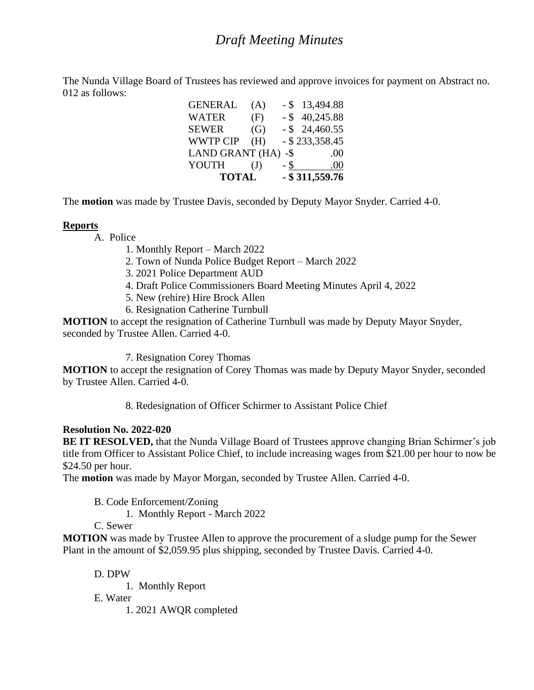The Nunda Village Board of Trustees has reviewed and approve invoices for payment on Abstract no. 012 as follows:

| <b>TOTAL</b>           |              |        | $-$ \$ 311,559.76 |
|------------------------|--------------|--------|-------------------|
| YOUTH                  | $\mathrm{J}$ | - \$   | .00               |
| <b>LAND GRANT (HA)</b> |              | $-$ \$ | .00               |
| <b>WWTP CIP</b>        | (H)          |        | $-$ \$ 233,358.45 |
| <b>SEWER</b>           | (G)          |        | $-$ \$ 24,460.55  |
| <b>WATER</b>           | (F)          |        | $-$ \$ 40,245.88  |
| <b>GENERAL</b>         | (A)          |        | $-$ \$ 13,494.88  |

The **motion** was made by Trustee Davis, seconded by Deputy Mayor Snyder. Carried 4-0.

## **Reports**

- A. Police
	- 1. Monthly Report March 2022
	- 2. Town of Nunda Police Budget Report March 2022
	- 3. 2021 Police Department AUD
	- 4. Draft Police Commissioners Board Meeting Minutes April 4, 2022
	- 5. New (rehire) Hire Brock Allen
	- 6. Resignation Catherine Turnbull

**MOTION** to accept the resignation of Catherine Turnbull was made by Deputy Mayor Snyder, seconded by Trustee Allen. Carried 4-0.

7. Resignation Corey Thomas

**MOTION** to accept the resignation of Corey Thomas was made by Deputy Mayor Snyder, seconded by Trustee Allen. Carried 4-0.

8. Redesignation of Officer Schirmer to Assistant Police Chief

# **Resolution No. 2022-020**

**BE IT RESOLVED,** that the Nunda Village Board of Trustees approve changing Brian Schirmer's job title from Officer to Assistant Police Chief, to include increasing wages from \$21.00 per hour to now be \$24.50 per hour.

The **motion** was made by Mayor Morgan, seconded by Trustee Allen. Carried 4-0.

B. Code Enforcement/Zoning

1. Monthly Report - March 2022

C. Sewer

**MOTION** was made by Trustee Allen to approve the procurement of a sludge pump for the Sewer Plant in the amount of \$2,059.95 plus shipping, seconded by Trustee Davis. Carried 4-0.

D. DPW

1. Monthly Report

E. Water

1. 2021 AWQR completed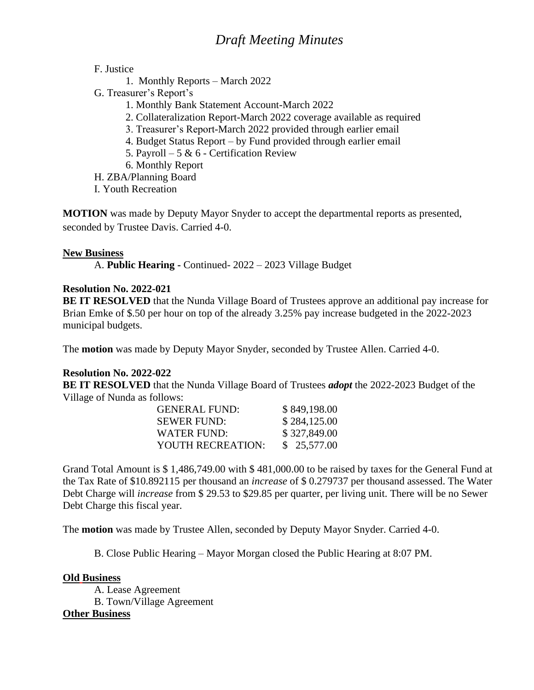F. Justice

- 1. Monthly Reports March 2022
- G. Treasurer's Report's
	- 1. Monthly Bank Statement Account-March 2022
	- 2. Collateralization Report-March 2022 coverage available as required
	- 3. Treasurer's Report-March 2022 provided through earlier email
	- 4. Budget Status Report by Fund provided through earlier email
	- 5. Payroll 5 & 6 Certification Review
	- 6. Monthly Report

H. ZBA/Planning Board

I. Youth Recreation

**MOTION** was made by Deputy Mayor Snyder to accept the departmental reports as presented, seconded by Trustee Davis. Carried 4-0.

## **New Business**

A. **Public Hearing -** Continued- 2022 – 2023 Village Budget

## **Resolution No. 2022-021**

**BE IT RESOLVED** that the Nunda Village Board of Trustees approve an additional pay increase for Brian Emke of \$.50 per hour on top of the already 3.25% pay increase budgeted in the 2022-2023 municipal budgets.

The **motion** was made by Deputy Mayor Snyder, seconded by Trustee Allen. Carried 4-0.

# **Resolution No. 2022-022**

**BE IT RESOLVED** that the Nunda Village Board of Trustees *adopt* the 2022-2023 Budget of the Village of Nunda as follows:

| <b>GENERAL FUND:</b> | \$849,198.00 |
|----------------------|--------------|
| <b>SEWER FUND:</b>   | \$284,125.00 |
| WATER FUND:          | \$327,849.00 |
| YOUTH RECREATION:    | \$25,577.00  |

Grand Total Amount is \$ 1,486,749.00 with \$ 481,000.00 to be raised by taxes for the General Fund at the Tax Rate of \$10.892115 per thousand an *increase* of \$ 0.279737 per thousand assessed. The Water Debt Charge will *increase* from \$ 29.53 to \$29.85 per quarter, per living unit. There will be no Sewer Debt Charge this fiscal year.

The **motion** was made by Trustee Allen, seconded by Deputy Mayor Snyder. Carried 4-0.

B. Close Public Hearing – Mayor Morgan closed the Public Hearing at 8:07 PM.

# **Old Business**

A. Lease Agreement B. Town/Village Agreement **Other Business**